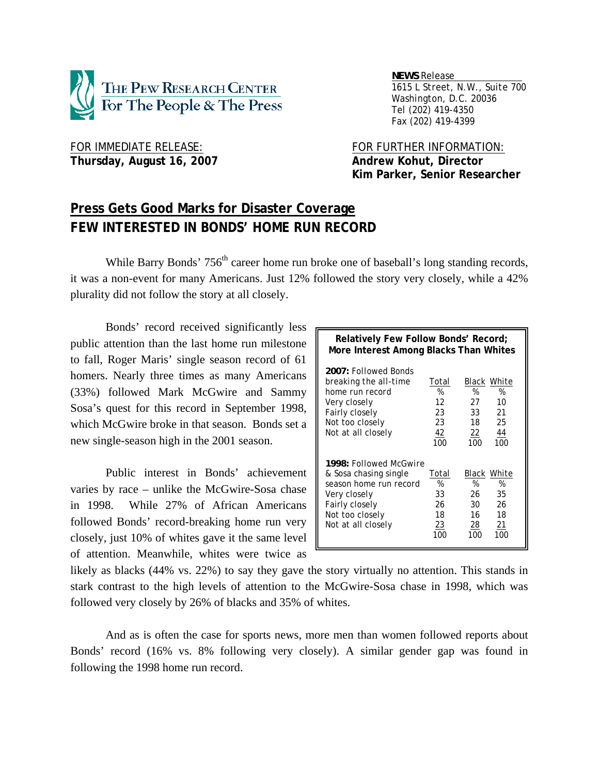

 *NEWS Release . 1615 L Street, N.W., Suite 700 Washington, D.C. 20036 Tel (202) 419-4350 Fax (202) 419-4399*

# Thursday, August 16, 2007 **Andrew Kohut, Director**

FOR IMMEDIATE RELEASE: FOR FURTHER INFORMATION:  **Kim Parker, Senior Researcher** 

## **Press Gets Good Marks for Disaster Coverage FEW INTERESTED IN BONDS' HOME RUN RECORD**

While Barry Bonds'  $756<sup>th</sup>$  career home run broke one of baseball's long standing records, it was a non-event for many Americans. Just 12% followed the story very closely, while a 42% plurality did not follow the story at all closely.

 Bonds' record received significantly less public attention than the last home run milestone to fall, Roger Maris' single season record of 61 homers. Nearly three times as many Americans (33%) followed Mark McGwire and Sammy Sosa's quest for this record in September 1998, which McGwire broke in that season. Bonds set a new single-season high in the 2001 season.

 Public interest in Bonds' achievement varies by race – unlike the McGwire-Sosa chase in 1998. While 27% of African Americans followed Bonds' record-breaking home run very closely, just 10% of whites gave it the same level of attention. Meanwhile, whites were twice as

| Relatively Few Follow Bonds' Record;<br>More Interest Among Blacks Than Whites                                                                       |                                           |                                                                                     |  |  |  |
|------------------------------------------------------------------------------------------------------------------------------------------------------|-------------------------------------------|-------------------------------------------------------------------------------------|--|--|--|
| 2007: Followed Bonds<br>breaking the all-time<br>home run record<br>Very closely<br>Fairly closely<br>Not too closely<br>Not at all closely          | Total<br>%<br>12<br>23<br>23<br>42<br>100 | Black White<br>%<br>%<br>27<br>10<br>21<br>33<br>18<br>25<br>44<br>22<br>100<br>100 |  |  |  |
| 1998: Followed McGwire<br>& Sosa chasing single<br>season home run record<br>Very closely<br>Fairly closely<br>Not too closely<br>Not at all closely | Total<br>%<br>33<br>26<br>18<br>23<br>100 | Black White<br>%<br>%<br>26<br>35<br>26<br>30<br>16<br>18<br>28<br>21<br>100<br>100 |  |  |  |

likely as blacks (44% vs. 22%) to say they gave the story virtually no attention. This stands in stark contrast to the high levels of attention to the McGwire-Sosa chase in 1998, which was followed very closely by 26% of blacks and 35% of whites.

 And as is often the case for sports news, more men than women followed reports about Bonds' record (16% vs. 8% following very closely). A similar gender gap was found in following the 1998 home run record.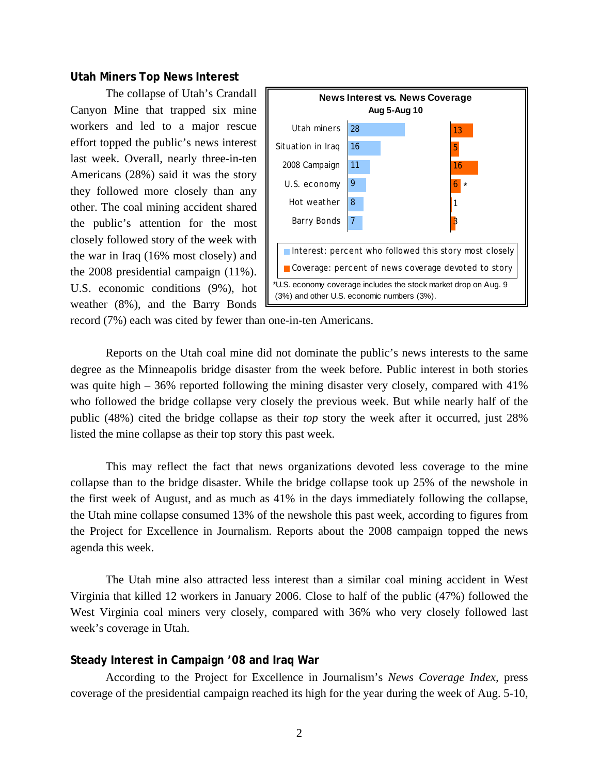## **Utah Miners Top News Interest**

 The collapse of Utah's Crandall Canyon Mine that trapped six mine workers and led to a major rescue effort topped the public's news interest last week. Overall, nearly three-in-ten Americans (28%) said it was the story they followed more closely than any other. The coal mining accident shared the public's attention for the most closely followed story of the week with the war in Iraq (16% most closely) and the 2008 presidential campaign (11%). U.S. economic conditions (9%), hot weather (8%), and the Barry Bonds



record (7%) each was cited by fewer than one-in-ten Americans.

 Reports on the Utah coal mine did not dominate the public's news interests to the same degree as the Minneapolis bridge disaster from the week before. Public interest in both stories was quite high – 36% reported following the mining disaster very closely, compared with 41% who followed the bridge collapse very closely the previous week. But while nearly half of the public (48%) cited the bridge collapse as their *top* story the week after it occurred, just 28% listed the mine collapse as their top story this past week.

 This may reflect the fact that news organizations devoted less coverage to the mine collapse than to the bridge disaster. While the bridge collapse took up 25% of the newshole in the first week of August, and as much as 41% in the days immediately following the collapse, the Utah mine collapse consumed 13% of the newshole this past week, according to figures from the Project for Excellence in Journalism. Reports about the 2008 campaign topped the news agenda this week.

 The Utah mine also attracted less interest than a similar coal mining accident in West Virginia that killed 12 workers in January 2006. Close to half of the public (47%) followed the West Virginia coal miners very closely, compared with 36% who very closely followed last week's coverage in Utah.

## **Steady Interest in Campaign '08 and Iraq War**

 According to the Project for Excellence in Journalism's *News Coverage Index,* press coverage of the presidential campaign reached its high for the year during the week of Aug. 5-10,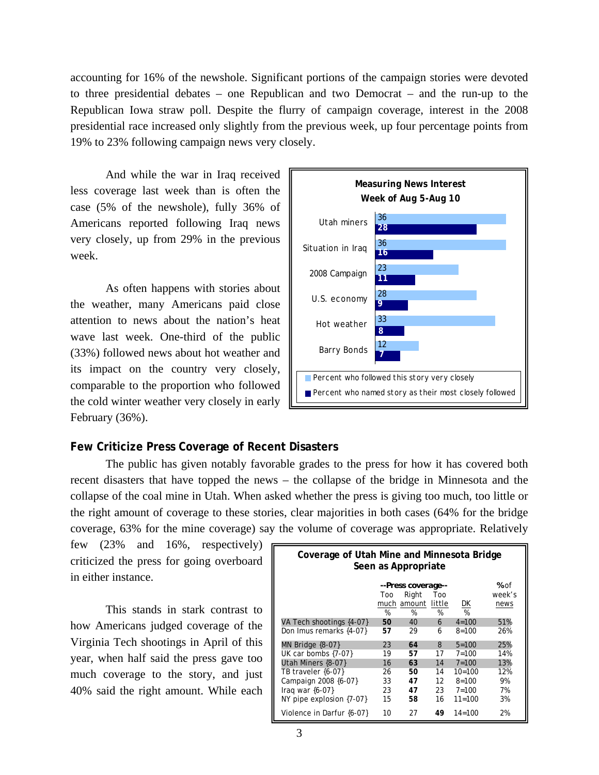accounting for 16% of the newshole. Significant portions of the campaign stories were devoted to three presidential debates – one Republican and two Democrat – and the run-up to the Republican Iowa straw poll. Despite the flurry of campaign coverage, interest in the 2008 presidential race increased only slightly from the previous week, up four percentage points from 19% to 23% following campaign news very closely.

 And while the war in Iraq received less coverage last week than is often the case (5% of the newshole), fully 36% of Americans reported following Iraq news very closely, up from 29% in the previous week.

 As often happens with stories about the weather, many Americans paid close attention to news about the nation's heat wave last week. One-third of the public (33%) followed news about hot weather and its impact on the country very closely, comparable to the proportion who followed the cold winter weather very closely in early February (36%).



## **Few Criticize Press Coverage of Recent Disasters**

 The public has given notably favorable grades to the press for how it has covered both recent disasters that have topped the news – the collapse of the bridge in Minnesota and the collapse of the coal mine in Utah. When asked whether the press is giving too much, too little or the right amount of coverage to these stories, clear majorities in both cases (64% for the bridge coverage, 63% for the mine coverage) say the volume of coverage was appropriate. Relatively

few (23% and 16%, respectively) criticized the press for going overboard in either instance.

 This stands in stark contrast to how Americans judged coverage of the Virginia Tech shootings in April of this year, when half said the press gave too much coverage to the story, and just 40% said the right amount. While each

| Coverage of Utah Mine and Minnesota Bridge<br>Seen as Appropriate |     |             |        |            |        |  |
|-------------------------------------------------------------------|-----|-------------|--------|------------|--------|--|
| --Press coverage--                                                |     |             |        |            |        |  |
|                                                                   | Too | Right       | Too    |            | week's |  |
|                                                                   |     | much amount | little | <u>DК</u>  | news   |  |
|                                                                   | %   | %           | %      | %          |        |  |
| VA Tech shootings {4-07}                                          | 50  | 40          | 6      | $4 = 100$  | 51%    |  |
| Don Imus remarks {4-07}                                           | 57  | 29          | 6      | $8 = 100$  | 26%    |  |
| MN Bridge $\{8-07\}$                                              | 23  | 64          | 8      | $5 = 100$  | 25%    |  |
| UK car bombs $\{7-07\}$                                           | 19  | 57          | 17     | $7 = 100$  | 14%    |  |
| Utah Miners {8-07}                                                | 16  | 63          | 14     | $7 = 100$  | 13%    |  |
| TB traveler {6-07}                                                | 26  | 50          | 14     | $10=100$   | 12%    |  |
| Campaign 2008 {6-07}                                              | 33  | 47          | 12     | $8 = 100$  | 9%     |  |
| Iraq war $\{6-07\}$                                               | 23  | 47          | 23     | $7 = 100$  | 7%     |  |
| NY pipe explosion $\{7-07\}$                                      | 15  | 58          | 16     | $11 = 100$ | .3%    |  |
| Violence in Darfur {6-07}                                         | 10  | 27          | 49     | $14 = 100$ | 2%     |  |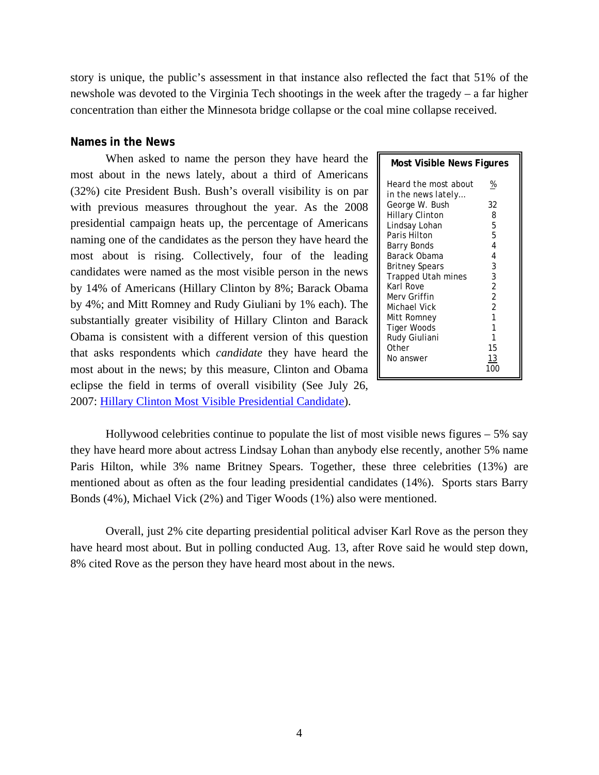story is unique, the public's assessment in that instance also reflected the fact that 51% of the newshole was devoted to the Virginia Tech shootings in the week after the tragedy – a far higher concentration than either the Minnesota bridge collapse or the coal mine collapse received.

## **Names in the News**

 When asked to name the person they have heard the most about in the news lately, about a third of Americans (32%) cite President Bush. Bush's overall visibility is on par with previous measures throughout the year. As the 2008 presidential campaign heats up, the percentage of Americans naming one of the candidates as the person they have heard the most about is rising. Collectively, four of the leading candidates were named as the most visible person in the news by 14% of Americans (Hillary Clinton by 8%; Barack Obama by 4%; and Mitt Romney and Rudy Giuliani by 1% each). The substantially greater visibility of Hillary Clinton and Barack Obama is consistent with a different version of this question that asks respondents which *candidate* they have heard the most about in the news; by this measure, Clinton and Obama eclipse the field in terms of overall visibility (See July 26, 2007: Hillary Clinton Most Visible Presidential Candidate).

| <b>Most Visible News Figures</b>           |                |  |  |  |  |
|--------------------------------------------|----------------|--|--|--|--|
| Heard the most about<br>in the news lately | %              |  |  |  |  |
| George W. Bush                             | 32             |  |  |  |  |
| <b>Hillary Clinton</b>                     | 8              |  |  |  |  |
| Lindsay Lohan                              | 5              |  |  |  |  |
| Paris Hilton                               | 5              |  |  |  |  |
| Barry Bonds                                | 4              |  |  |  |  |
| Barack Obama                               | 4              |  |  |  |  |
| <b>Britney Spears</b>                      | 3              |  |  |  |  |
| Trapped Utah mines                         | 3              |  |  |  |  |
| Karl Rove                                  | $\overline{2}$ |  |  |  |  |
| Merv Griffin                               | $\overline{2}$ |  |  |  |  |
| Michael Vick                               | $\overline{2}$ |  |  |  |  |
| Mitt Romney                                | 1              |  |  |  |  |
| Tiger Woods                                | 1              |  |  |  |  |
| Rudy Giuliani                              | 1              |  |  |  |  |
| Other                                      | 15             |  |  |  |  |
| No answer                                  | 13             |  |  |  |  |

 Hollywood celebrities continue to populate the list of most visible news figures – 5% say they have heard more about actress Lindsay Lohan than anybody else recently, another 5% name Paris Hilton, while 3% name Britney Spears. Together, these three celebrities (13%) are mentioned about as often as the four leading presidential candidates (14%). Sports stars Barry Bonds (4%), Michael Vick (2%) and Tiger Woods (1%) also were mentioned.

 Overall, just 2% cite departing presidential political adviser Karl Rove as the person they have heard most about. But in polling conducted Aug. 13, after Rove said he would step down, 8% cited Rove as the person they have heard most about in the news.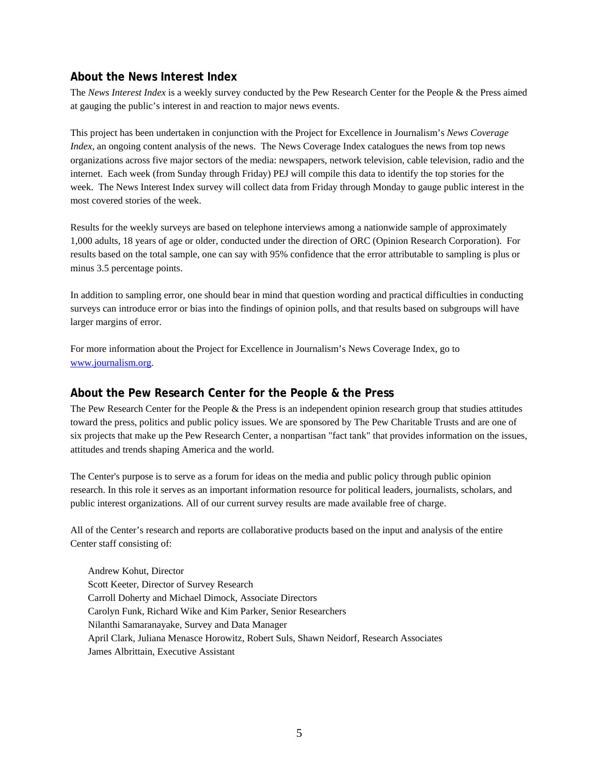## **About the News Interest Index**

The *News Interest Index* is a weekly survey conducted by the Pew Research Center for the People & the Press aimed at gauging the public's interest in and reaction to major news events.

This project has been undertaken in conjunction with the Project for Excellence in Journalism's *News Coverage Index*, an ongoing content analysis of the news. The News Coverage Index catalogues the news from top news organizations across five major sectors of the media: newspapers, network television, cable television, radio and the internet. Each week (from Sunday through Friday) PEJ will compile this data to identify the top stories for the week. The News Interest Index survey will collect data from Friday through Monday to gauge public interest in the most covered stories of the week.

Results for the weekly surveys are based on telephone interviews among a nationwide sample of approximately 1,000 adults, 18 years of age or older, conducted under the direction of ORC (Opinion Research Corporation). For results based on the total sample, one can say with 95% confidence that the error attributable to sampling is plus or minus 3.5 percentage points.

In addition to sampling error, one should bear in mind that question wording and practical difficulties in conducting surveys can introduce error or bias into the findings of opinion polls, and that results based on subgroups will have larger margins of error.

For more information about the Project for Excellence in Journalism's News Coverage Index, go to www.journalism.org.

## **About the Pew Research Center for the People & the Press**

The Pew Research Center for the People & the Press is an independent opinion research group that studies attitudes toward the press, politics and public policy issues. We are sponsored by The Pew Charitable Trusts and are one of six projects that make up the Pew Research Center, a nonpartisan "fact tank" that provides information on the issues, attitudes and trends shaping America and the world.

The Center's purpose is to serve as a forum for ideas on the media and public policy through public opinion research. In this role it serves as an important information resource for political leaders, journalists, scholars, and public interest organizations. All of our current survey results are made available free of charge.

All of the Center's research and reports are collaborative products based on the input and analysis of the entire Center staff consisting of:

 Andrew Kohut, Director Scott Keeter, Director of Survey Research Carroll Doherty and Michael Dimock, Associate Directors Carolyn Funk, Richard Wike and Kim Parker, Senior Researchers Nilanthi Samaranayake, Survey and Data Manager April Clark, Juliana Menasce Horowitz, Robert Suls, Shawn Neidorf, Research Associates James Albrittain, Executive Assistant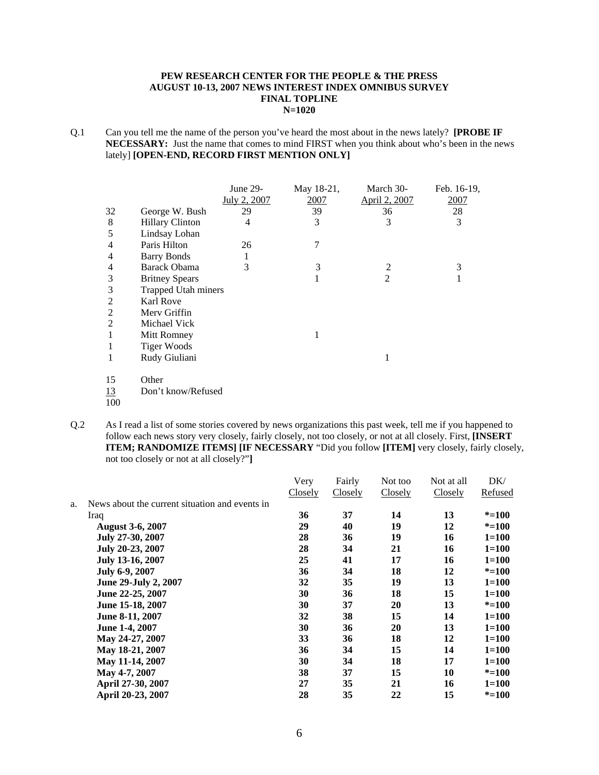#### **PEW RESEARCH CENTER FOR THE PEOPLE & THE PRESS AUGUST 10-13, 2007 NEWS INTEREST INDEX OMNIBUS SURVEY FINAL TOPLINE N=1020**

Q.1 Can you tell me the name of the person you've heard the most about in the news lately? **[PROBE IF NECESSARY:** Just the name that comes to mind FIRST when you think about who's been in the news lately] **[OPEN-END, RECORD FIRST MENTION ONLY]** 

|                |                            | June 29-       | May 18-21, | March 30-      | Feb. 16-19,  |
|----------------|----------------------------|----------------|------------|----------------|--------------|
|                |                            | July 2, 2007   | 2007       | April 2, 2007  | 2007         |
| 32             | George W. Bush             | 29             | 39         | 36             | 28           |
| 8              | <b>Hillary Clinton</b>     | $\overline{4}$ | 3          | 3              | 3            |
| 5              | Lindsay Lohan              |                |            |                |              |
| 4              | Paris Hilton               | 26             | 7          |                |              |
| 4              | <b>Barry Bonds</b>         |                |            |                |              |
| 4              | <b>Barack Obama</b>        | 3              | 3          | $\overline{2}$ | 3            |
| 3              | <b>Britney Spears</b>      |                | 1          | 2              | $\mathbf{1}$ |
| 3              | <b>Trapped Utah miners</b> |                |            |                |              |
| $\mathfrak{2}$ | <b>Karl Rove</b>           |                |            |                |              |
| 2              | Merv Griffin               |                |            |                |              |
| $\overline{2}$ | Michael Vick               |                |            |                |              |
| 1              | Mitt Romney                |                | 1          |                |              |
| 1              | <b>Tiger Woods</b>         |                |            |                |              |
| 1              | Rudy Giuliani              |                |            | 1              |              |
| 15             | Other                      |                |            |                |              |
| 13             | Don't know/Refused         |                |            |                |              |
| 100            |                            |                |            |                |              |

Q.2 As I read a list of some stories covered by news organizations this past week, tell me if you happened to follow each news story very closely, fairly closely, not too closely, or not at all closely. First, **[INSERT ITEM; RANDOMIZE ITEMS] [IF NECESSARY** "Did you follow **[ITEM]** very closely, fairly closely, not too closely or not at all closely?"**]**

|    |                                                | Very    | Fairly  | Not too | Not at all | DK/       |
|----|------------------------------------------------|---------|---------|---------|------------|-----------|
|    |                                                | Closely | Closely | Closely | Closely    | Refused   |
| a. | News about the current situation and events in |         |         |         |            |           |
|    | Iraq                                           | 36      | 37      | 14      | 13         | $* = 100$ |
|    | <b>August 3-6, 2007</b>                        | 29      | 40      | 19      | 12         | $* = 100$ |
|    | July 27-30, 2007                               | 28      | 36      | 19      | 16         | $1 = 100$ |
|    | July 20-23, 2007                               | 28      | 34      | 21      | 16         | $1 = 100$ |
|    | July 13-16, 2007                               | 25      | 41      | 17      | 16         | $1 = 100$ |
|    | July 6-9, 2007                                 | 36      | 34      | 18      | 12         | $* = 100$ |
|    | June 29-July 2, 2007                           | 32      | 35      | 19      | 13         | $1 = 100$ |
|    | June 22-25, 2007                               | 30      | 36      | 18      | 15         | $1 = 100$ |
|    | June 15-18, 2007                               | 30      | 37      | 20      | 13         | $* = 100$ |
|    | June 8-11, 2007                                | 32      | 38      | 15      | 14         | $1=100$   |
|    | June 1-4, 2007                                 | 30      | 36      | 20      | 13         | $1 = 100$ |
|    | May 24-27, 2007                                | 33      | 36      | 18      | 12         | $1=100$   |
|    | May 18-21, 2007                                | 36      | 34      | 15      | 14         | $1 = 100$ |
|    | May 11-14, 2007                                | 30      | 34      | 18      | 17         | $1=100$   |
|    | May 4-7, 2007                                  | 38      | 37      | 15      | 10         | $* = 100$ |
|    | April 27-30, 2007                              | 27      | 35      | 21      | 16         | $1 = 100$ |
|    | April 20-23, 2007                              | 28      | 35      | 22      | 15         | $* = 100$ |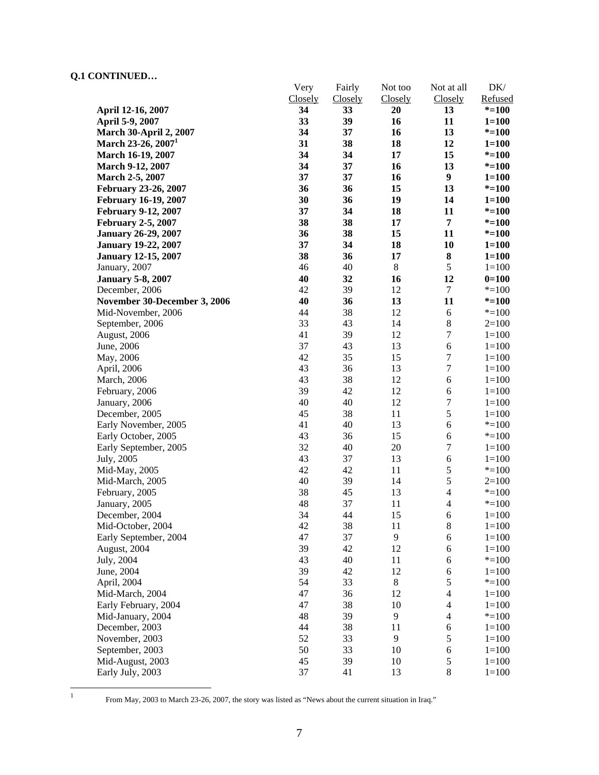|                                                  | Very          | Fairly        | Not too        | Not at all       | DK/                    |
|--------------------------------------------------|---------------|---------------|----------------|------------------|------------------------|
|                                                  | Closely<br>34 | Closely<br>33 | Closely<br>20  | <b>Closely</b>   | Refused                |
| April 12-16, 2007                                | 33            | 39            | 16             | 13<br>11         | $* = 100$              |
| April 5-9, 2007<br><b>March 30-April 2, 2007</b> | 34            | 37            | 16             | 13               | $1 = 100$<br>$* = 100$ |
| March 23-26, 2007 <sup>1</sup>                   | 31            | 38            | 18             | 12               |                        |
|                                                  | 34            | 34            |                |                  | $1 = 100$              |
| March 16-19, 2007                                | 34            | 37            | 17             | 15<br>13         | $* = 100$              |
| March 9-12, 2007                                 |               |               | 16             | $\boldsymbol{9}$ | $* = 100$              |
| March 2-5, 2007                                  | 37            | 37            | 16             |                  | $1 = 100$              |
| <b>February 23-26, 2007</b>                      | 36            | 36            | 15             | 13               | $* = 100$              |
| <b>February 16-19, 2007</b>                      | 30            | 36            | 19             | 14               | $1 = 100$              |
| <b>February 9-12, 2007</b>                       | 37            | 34            | 18             | 11               | $* = 100$              |
| <b>February 2-5, 2007</b>                        | 38            | 38            | 17             | 7                | $* = 100$              |
| <b>January 26-29, 2007</b>                       | 36            | 38            | 15             | 11               | $* = 100$              |
| <b>January 19-22, 2007</b>                       | 37            | 34            | 18             | 10               | $1 = 100$              |
| <b>January 12-15, 2007</b>                       | 38            | 36            | 17             | ${\bf 8}$        | $1 = 100$              |
| January, 2007                                    | 46            | 40            | $\,8\,$        | 5                | $1 = 100$              |
| <b>January 5-8, 2007</b>                         | 40            | 32            | 16             | 12               | $0=100$                |
| December, 2006                                   | 42            | 39            | 12             | $\boldsymbol{7}$ | $* = 100$              |
| November 30-December 3, 2006                     | 40            | 36            | 13             | 11               | $* = 100$              |
| Mid-November, 2006                               | 44            | 38            | 12             | $\sqrt{6}$       | $* = 100$              |
| September, 2006                                  | 33            | 43            | 14             | $\,8\,$          | $2=100$                |
| August, 2006                                     | 41            | 39            | 12             | $\boldsymbol{7}$ | $1 = 100$              |
| June, 2006                                       | 37            | 43            | 13             | $\sqrt{6}$       | $1 = 100$              |
| May, 2006                                        | 42            | 35            | 15             | $\boldsymbol{7}$ | $1 = 100$              |
| April, 2006                                      | 43            | 36            | 13             | $\boldsymbol{7}$ | $1 = 100$              |
| March, 2006                                      | 43            | 38            | 12             | $\sqrt{6}$       | $1 = 100$              |
| February, 2006                                   | 39            | 42            | 12             | $\sqrt{6}$       | $1 = 100$              |
| January, 2006                                    | 40            | 40            | 12             | $\boldsymbol{7}$ | $1 = 100$              |
| December, 2005                                   | 45            | 38            | 11             | 5                | $1 = 100$              |
| Early November, 2005                             | 41            | 40            | 13             | 6                | $* = 100$              |
| Early October, 2005                              | 43            | 36            | 15             | 6                | $* = 100$              |
| Early September, 2005                            | 32            | 40            | 20             | $\boldsymbol{7}$ | $1 = 100$              |
| July, 2005                                       | 43            | 37            | 13             | 6                | $1 = 100$              |
| Mid-May, 2005                                    | 42            | 42            | 11             | $\sqrt{5}$       | $* = 100$              |
| Mid-March, 2005                                  | 40            | 39            | 14             | 5                | $2=100$                |
| February, 2005                                   | 38            | 45            | 13             | $\overline{4}$   | $* = 100$              |
| January, 2005                                    | 48            | 37            | 11             | $\overline{4}$   | $* = 100$              |
| December, 2004                                   | 34            | 44            | 15             | 6                | $1 = 100$              |
| Mid-October, 2004                                | 42            | 38            | 11             | $\,8\,$          | $1 = 100$              |
| Early September, 2004                            | 47            | 37            | 9              | $\epsilon$       | $1 = 100$              |
| August, 2004                                     | 39            | 42            | 12             | 6                | $1 = 100$              |
| July, 2004                                       | 43            | 40            | 11             | 6                | $* = 100$              |
| June, 2004                                       | 39            | 42            | 12             | $\sqrt{6}$       | $1 = 100$              |
| April, 2004                                      | 54            | 33            | $\,8\,$        | $\sqrt{5}$       | $* = 100$              |
| Mid-March, 2004                                  | 47            | 36            | 12             | $\overline{4}$   | $1 = 100$              |
| Early February, 2004                             | 47            | 38            | 10             | $\overline{4}$   | $1 = 100$              |
| Mid-January, 2004                                | 48            | 39            | 9              | 4                | $* = 100$              |
| December, 2003                                   | 44            | 38            | 11             | 6                | $1 = 100$              |
| November, 2003                                   | 52            | 33            | $\overline{9}$ | $\sqrt{5}$       | $1 = 100$              |
| September, 2003                                  | 50            | 33            | 10             | $\sqrt{6}$       | $1 = 100$              |
| Mid-August, 2003                                 | 45            | 39            | 10             | $\sqrt{5}$       | $1 = 100$              |
| Early July, 2003                                 | 37            | 41            | 13             | $\,$ 8 $\,$      | $1 = 100$              |

 $\frac{1}{1}$ 

From May, 2003 to March 23-26, 2007, the story was listed as "News about the current situation in Iraq."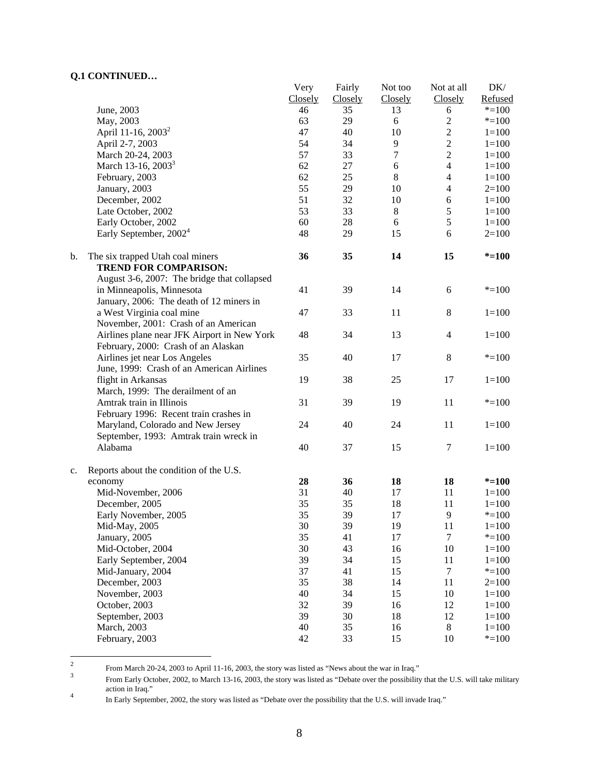|    |                                                                  | Very    | Fairly  | Not too          | Not at all       | DK/       |
|----|------------------------------------------------------------------|---------|---------|------------------|------------------|-----------|
|    |                                                                  | Closely | Closely | Closely          | Closely          | Refused   |
|    | June, 2003                                                       | 46      | 35      | 13               | 6                | $* = 100$ |
|    | May, 2003                                                        | 63      | 29      | 6                | $\overline{2}$   | $* = 100$ |
|    | April 11-16, 2003 <sup>2</sup>                                   | 47      | 40      | 10               | $\sqrt{2}$       | $1 = 100$ |
|    | April 2-7, 2003                                                  | 54      | 34      | 9                | $\overline{2}$   | $1 = 100$ |
|    | March 20-24, 2003                                                | 57      | 33      | $\boldsymbol{7}$ | $\overline{2}$   | $1 = 100$ |
|    | March 13-16, 2003 <sup>3</sup>                                   | 62      | 27      | $\sqrt{6}$       | $\overline{4}$   | $1 = 100$ |
|    | February, 2003                                                   | 62      | 25      | $8\,$            | $\overline{4}$   | $1 = 100$ |
|    | January, 2003                                                    | 55      | 29      | 10               | $\overline{4}$   | $2=100$   |
|    | December, 2002                                                   | 51      | 32      | 10               | $\sqrt{6}$       | $1 = 100$ |
|    | Late October, 2002                                               | 53      | 33      | 8                | $\sqrt{5}$       | $1 = 100$ |
|    | Early October, 2002                                              | 60      | 28      | 6                | $\sqrt{5}$       | $1 = 100$ |
|    | Early September, 2002 <sup>4</sup>                               | 48      | 29      | 15               | 6                | $2=100$   |
| b. | The six trapped Utah coal miners<br><b>TREND FOR COMPARISON:</b> | 36      | 35      | 14               | 15               | $* = 100$ |
|    | August 3-6, 2007: The bridge that collapsed                      |         |         |                  |                  |           |
|    | in Minneapolis, Minnesota                                        | 41      | 39      | 14               | 6                | $* = 100$ |
|    | January, 2006: The death of 12 miners in                         |         |         |                  |                  |           |
|    | a West Virginia coal mine                                        | 47      | 33      | 11               | $\,8\,$          | $1 = 100$ |
|    | November, 2001: Crash of an American                             |         |         |                  |                  |           |
|    | Airlines plane near JFK Airport in New York                      | 48      | 34      | 13               | $\overline{4}$   | $1 = 100$ |
|    | February, 2000: Crash of an Alaskan                              |         |         |                  |                  |           |
|    | Airlines jet near Los Angeles                                    | 35      | 40      | 17               | 8                | $* = 100$ |
|    | June, 1999: Crash of an American Airlines                        |         |         |                  |                  |           |
|    | flight in Arkansas                                               | 19      | 38      | 25               | 17               | $1 = 100$ |
|    | March, 1999: The derailment of an                                |         |         |                  |                  |           |
|    | Amtrak train in Illinois                                         | 31      | 39      | 19               | 11               | $* = 100$ |
|    | February 1996: Recent train crashes in                           |         |         |                  |                  |           |
|    | Maryland, Colorado and New Jersey                                | 24      | 40      | 24               | 11               | $1 = 100$ |
|    | September, 1993: Amtrak train wreck in                           |         |         |                  |                  |           |
|    | Alabama                                                          | 40      | 37      | 15               | $\tau$           | $1 = 100$ |
| c. | Reports about the condition of the U.S.                          |         |         |                  |                  |           |
|    | economy                                                          | 28      | 36      | 18               | 18               | $* = 100$ |
|    | Mid-November, 2006                                               | 31      | 40      | 17               | 11               | $1 = 100$ |
|    | December, 2005                                                   | 35      | 35      | 18               | 11               | $1 = 100$ |
|    | Early November, 2005                                             | 35      | 39      | 17               | 9                | $* = 100$ |
|    | Mid-May, 2005                                                    | 30      | 39      | 19               | 11               | $1 = 100$ |
|    | January, 2005                                                    | 35      | 41      | 17               | $\tau$           | $* = 100$ |
|    | Mid-October, 2004                                                | 30      | 43      | 16               | 10               | $1 = 100$ |
|    | Early September, 2004                                            | 39      | 34      | 15               | 11               | $1 = 100$ |
|    | Mid-January, 2004                                                | 37      | 41      | 15               | $\boldsymbol{7}$ | $* = 100$ |
|    | December, 2003                                                   | 35      | 38      | 14               | 11               | $2=100$   |
|    | November, 2003                                                   | 40      | 34      | 15               | 10               | $1 = 100$ |
|    | October, 2003                                                    | 32      | 39      | 16               | 12               | $1 = 100$ |
|    | September, 2003                                                  | 39      | 30      | 18               | 12               | $1 = 100$ |
|    | March, 2003                                                      | 40      | 35      | 16               | $\,8\,$          | $1 = 100$ |
|    | February, 2003                                                   | 42      | 33      | 15               | 10               | $* = 100$ |

 $\frac{1}{2}$ From March 20-24, 2003 to April 11-16, 2003, the story was listed as "News about the war in Iraq."

From Early October, 2002, to March 13-16, 2003, the story was listed as "Debate over the possibility that the U.S. will take military action in Iraq."

In Early September, 2002, the story was listed as "Debate over the possibility that the U.S. will invade Iraq."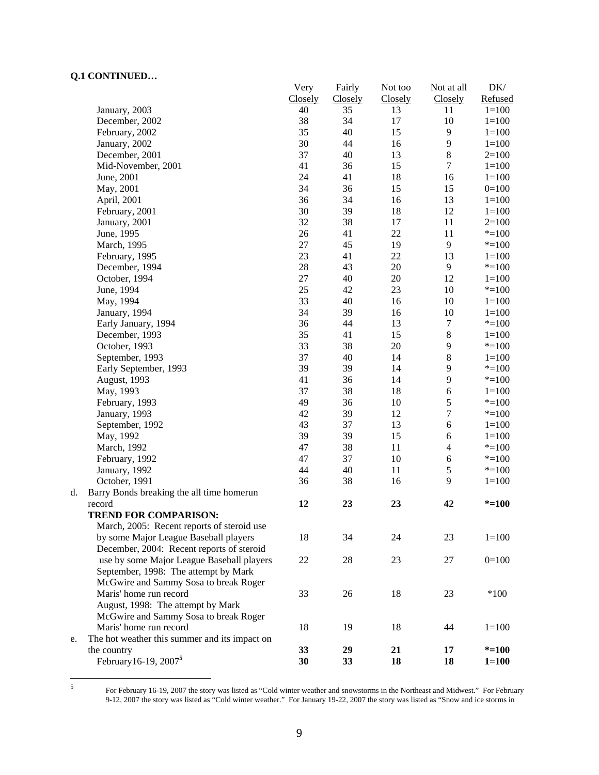|    |                                               | Very    | Fairly  | Not too | Not at all       | DK/       |
|----|-----------------------------------------------|---------|---------|---------|------------------|-----------|
|    |                                               | Closely | Closely | Closely | Closely          | Refused   |
|    | January, 2003                                 | 40      | 35      | 13      | 11               | $1 = 100$ |
|    | December, 2002                                | 38      | 34      | 17      | 10               | $1 = 100$ |
|    | February, 2002                                | 35      | 40      | 15      | $\mathbf{9}$     | $1 = 100$ |
|    | January, 2002                                 | 30      | 44      | 16      | $\overline{9}$   | $1 = 100$ |
|    | December, 2001                                | 37      | 40      | 13      | $\bf 8$          | $2=100$   |
|    | Mid-November, 2001                            | 41      | 36      | 15      | $\boldsymbol{7}$ | $1 = 100$ |
|    | June, 2001                                    | 24      | 41      | 18      | 16               | $1 = 100$ |
|    | May, 2001                                     | 34      | 36      | 15      | 15               | $0=100$   |
|    | April, 2001                                   | 36      | 34      | 16      | 13               | $1 = 100$ |
|    | February, 2001                                | 30      | 39      | 18      | 12               | $1 = 100$ |
|    | January, 2001                                 | 32      | 38      | 17      | 11               | $2=100$   |
|    | June, 1995                                    | 26      | 41      | 22      | 11               | $*=100$   |
|    | March, 1995                                   | 27      | 45      | 19      | 9                | $* = 100$ |
|    | February, 1995                                | 23      | 41      | 22      | 13               | $1 = 100$ |
|    | December, 1994                                | $28\,$  | 43      | 20      | 9                | $* = 100$ |
|    | October, 1994                                 | $27\,$  | 40      | 20      | 12               | $1 = 100$ |
|    | June, 1994                                    | 25      | 42      | 23      | 10               | $* = 100$ |
|    | May, 1994                                     | 33      | 40      | 16      | 10               | $1 = 100$ |
|    | January, 1994                                 | 34      | 39      | 16      | 10               | $1 = 100$ |
|    | Early January, 1994                           | 36      | 44      | 13      | $\tau$           | $* = 100$ |
|    | December, 1993                                | 35      | 41      | 15      | $\,8\,$          | $1 = 100$ |
|    | October, 1993                                 | 33      | 38      | 20      | $\mathbf{9}$     | $* = 100$ |
|    | September, 1993                               | 37      | 40      | 14      | $\,8\,$          | $1 = 100$ |
|    | Early September, 1993                         | 39      | 39      | 14      | $\overline{9}$   | $* = 100$ |
|    | August, 1993                                  | 41      | 36      | 14      | 9                | $* = 100$ |
|    | May, 1993                                     | 37      | 38      | 18      | 6                | $1 = 100$ |
|    | February, 1993                                | 49      | 36      | 10      | $\mathfrak s$    | $* = 100$ |
|    | January, 1993                                 | 42      | 39      | 12      | $\overline{7}$   | $* = 100$ |
|    | September, 1992                               | 43      | 37      | 13      | $\sqrt{6}$       | $1 = 100$ |
|    | May, 1992                                     | 39      | 39      | 15      | 6                | $1 = 100$ |
|    | March, 1992                                   | 47      | 38      | $11\,$  | $\overline{4}$   | $* = 100$ |
|    | February, 1992                                | 47      | 37      | 10      | $\sqrt{6}$       | $* = 100$ |
|    | January, 1992                                 | 44      | 40      | 11      | $\sqrt{5}$       | $* = 100$ |
|    | October, 1991                                 | 36      | 38      | 16      | 9                | $1 = 100$ |
| d. | Barry Bonds breaking the all time homerun     |         |         |         |                  |           |
|    | record                                        | 12      | 23      | 23      | 42               | $* = 100$ |
|    | <b>TREND FOR COMPARISON:</b>                  |         |         |         |                  |           |
|    | March, 2005: Recent reports of steroid use    |         |         |         |                  |           |
|    | by some Major League Baseball players         | 18      | 34      | 24      | 23               | $1 = 100$ |
|    | December, 2004: Recent reports of steroid     |         |         |         |                  |           |
|    | use by some Major League Baseball players     | $22\,$  | 28      | 23      | 27               | $0=100$   |
|    | September, 1998: The attempt by Mark          |         |         |         |                  |           |
|    | McGwire and Sammy Sosa to break Roger         |         |         |         |                  |           |
|    | Maris' home run record                        | 33      | 26      | 18      | 23               | $*100$    |
|    | August, 1998: The attempt by Mark             |         |         |         |                  |           |
|    | McGwire and Sammy Sosa to break Roger         |         |         |         |                  |           |
|    | Maris' home run record                        | 18      | 19      | 18      | 44               | $1 = 100$ |
| e. | The hot weather this summer and its impact on |         |         |         |                  |           |
|    | the country                                   | 33      | 29      | 21      | 17               | $* = 100$ |
|    | February 16-19, 2007 <sup>5</sup>             | 30      | 33      | 18      | 18               | $1 = 100$ |
|    |                                               |         |         |         |                  |           |

5

For February 16-19, 2007 the story was listed as "Cold winter weather and snowstorms in the Northeast and Midwest." For February 9-12, 2007 the story was listed as "Cold winter weather." For January 19-22, 2007 the story was listed as "Snow and ice storms in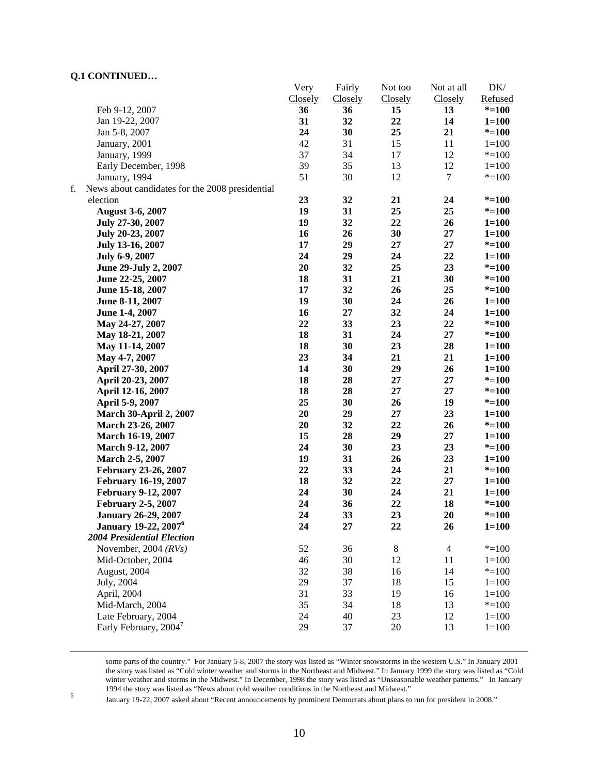|    |                                                 | Very    | Fairly         | Not too | Not at all     | DK/       |
|----|-------------------------------------------------|---------|----------------|---------|----------------|-----------|
|    |                                                 | Closely | <b>Closely</b> | Closely | Closely        | Refused   |
|    | Feb 9-12, 2007                                  | 36      | 36             | 15      | 13             | $* = 100$ |
|    | Jan 19-22, 2007                                 | 31      | 32             | 22      | 14             | $1 = 100$ |
|    | Jan 5-8, 2007                                   | 24      | 30             | 25      | 21             | $* = 100$ |
|    | January, 2001                                   | 42      | 31             | 15      | 11             | $1 = 100$ |
|    | January, 1999                                   | 37      | 34             | 17      | 12             | $* = 100$ |
|    | Early December, 1998                            | 39      | 35             | 13      | 12             | $1 = 100$ |
|    | January, 1994                                   | 51      | 30             | 12      | 7              | $* = 100$ |
| f. | News about candidates for the 2008 presidential |         |                |         |                |           |
|    | election                                        | 23      | 32             | 21      | 24             | $* = 100$ |
|    | <b>August 3-6, 2007</b>                         | 19      | 31             | 25      | 25             | $* = 100$ |
|    | July 27-30, 2007                                | 19      | 32             | 22      | 26             | $1 = 100$ |
|    | July 20-23, 2007                                | 16      | 26             | 30      | 27             | $1 = 100$ |
|    | July 13-16, 2007                                | 17      | 29             | 27      | 27             | $* = 100$ |
|    | July 6-9, 2007                                  | 24      | 29             | 24      | 22             | $1 = 100$ |
|    | June 29-July 2, 2007                            | 20      | 32             | 25      | 23             | $* = 100$ |
|    | June 22-25, 2007                                | 18      | 31             | 21      | 30             | $* = 100$ |
|    | June 15-18, 2007                                | 17      | 32             | 26      | 25             | $* = 100$ |
|    | June 8-11, 2007                                 | 19      | 30             | 24      | 26             | $1 = 100$ |
|    | June 1-4, 2007                                  | 16      | 27             | 32      | 24             | $1 = 100$ |
|    | May 24-27, 2007                                 | 22      | 33             | 23      | 22             | $* = 100$ |
|    | May 18-21, 2007                                 | 18      | 31             | 24      | 27             | $* = 100$ |
|    | May 11-14, 2007                                 | 18      | 30             | 23      | 28             | $1 = 100$ |
|    | May 4-7, 2007                                   | 23      | 34             | 21      | 21             | $1 = 100$ |
|    | April 27-30, 2007                               | 14      | 30             | 29      | 26             | $1 = 100$ |
|    | April 20-23, 2007                               | 18      | 28             | 27      | $27\,$         | $* = 100$ |
|    | April 12-16, 2007                               | 18      | 28             | 27      | 27             | $* = 100$ |
|    | April 5-9, 2007                                 | 25      | 30             | 26      | 19             | $* = 100$ |
|    | <b>March 30-April 2, 2007</b>                   | 20      | 29             | 27      | 23             | $1 = 100$ |
|    | March 23-26, 2007                               | 20      | 32             | 22      | 26             | $* = 100$ |
|    | March 16-19, 2007                               | 15      | 28             | 29      | 27             | $1 = 100$ |
|    | <b>March 9-12, 2007</b>                         | 24      | 30             | 23      | 23             | $* = 100$ |
|    | March 2-5, 2007                                 | 19      | 31             | 26      | 23             | $1 = 100$ |
|    | <b>February 23-26, 2007</b>                     | 22      | 33             | 24      | 21             | $* = 100$ |
|    | <b>February 16-19, 2007</b>                     | 18      | 32             | 22      | $27\,$         | $1 = 100$ |
|    | <b>February 9-12, 2007</b>                      | 24      | 30             | 24      | 21             | $1 = 100$ |
|    | <b>February 2-5, 2007</b>                       | 24      | 36             | 22      | 18             | $* = 100$ |
|    | <b>January 26-29, 2007</b>                      | 24      | 33             | 23      | 20             | $* = 100$ |
|    | <b>January 19-22, 2007</b> <sup>6</sup>         | 24      | 27             | 22      | 26             | $1 = 100$ |
|    | <b>2004 Presidential Election</b>               |         |                |         |                |           |
|    | November, 2004 $(RVs)$                          | 52      | 36             | $8\,$   | $\overline{4}$ | $* = 100$ |
|    | Mid-October, 2004                               | 46      | 30             | 12      | 11             | $1 = 100$ |
|    | August, 2004                                    | 32      | 38             | 16      | 14             | $* = 100$ |
|    | July, 2004                                      | 29      | 37             | 18      | 15             | $1 = 100$ |
|    | April, 2004                                     | 31      | 33             | 19      | 16             | $1 = 100$ |
|    | Mid-March, 2004                                 | 35      | 34             | 18      | 13             | $* = 100$ |
|    | Late February, 2004                             | 24      | 40             | 23      | 12             | $1 = 100$ |
|    | Early February, 2004 <sup>7</sup>               | 29      | 37             | 20      | 13             | $1 = 100$ |
|    |                                                 |         |                |         |                |           |

 some parts of the country." For January 5-8, 2007 the story was listed as "Winter snowstorms in the western U.S." In January 2001 the story was listed as "Cold winter weather and storms in the Northeast and Midwest." In January 1999 the story was listed as "Cold winter weather and storms in the Midwest." In December, 1998 the story was listed as "Unseasonable weather patterns." In January 1994 the story was listed as "News about cold weather conditions in the Northeast and Midwest."<br>
In the Northeast and Midwest. The story of the Society of the Society of the Society of the Society of the Society of the Soc

January 19-22, 2007 asked about "Recent announcements by prominent Democrats about plans to run for president in 2008."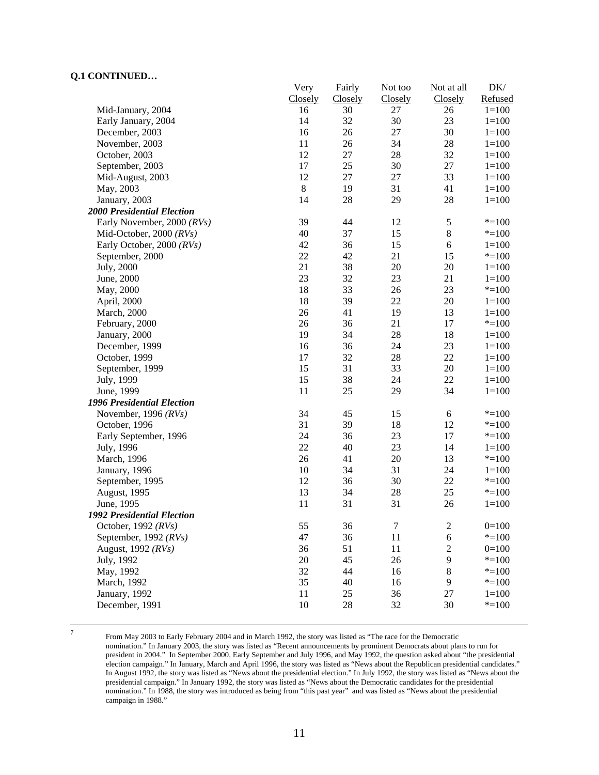|                                   | Very        | Fairly  | Not too          | Not at all     | DK/       |
|-----------------------------------|-------------|---------|------------------|----------------|-----------|
|                                   | Closely     | Closely | Closely          | Closely        | Refused   |
| Mid-January, 2004                 | 16          | 30      | 27               | 26             | $1 = 100$ |
| Early January, 2004               | 14          | 32      | 30               | 23             | $1 = 100$ |
| December, 2003                    | 16          | 26      | 27               | 30             | $1 = 100$ |
| November, 2003                    | 11          | 26      | 34               | 28             | $1 = 100$ |
| October, 2003                     | 12          | 27      | 28               | 32             | $1 = 100$ |
| September, 2003                   | 17          | 25      | 30               | $27\,$         | $1 = 100$ |
| Mid-August, 2003                  | 12          | 27      | 27               | 33             | $1 = 100$ |
| May, 2003                         | $\,$ 8 $\,$ | 19      | 31               | 41             | $1 = 100$ |
| January, 2003                     | 14          | 28      | 29               | 28             | $1 = 100$ |
| <b>2000 Presidential Election</b> |             |         |                  |                |           |
| Early November, 2000 (RVs)        | 39          | 44      | 12               | $\sqrt{5}$     | $* = 100$ |
| Mid-October, 2000 $(RVs)$         | 40          | 37      | 15               | $\,8\,$        | $* = 100$ |
| Early October, 2000 (RVs)         | 42          | 36      | 15               | 6              | $1 = 100$ |
| September, 2000                   | 22          | 42      | 21               | 15             | $* = 100$ |
| July, 2000                        | 21          | 38      | $20\,$           | 20             | $1 = 100$ |
| June, 2000                        | 23          | 32      | 23               | 21             | $1 = 100$ |
| May, 2000                         | 18          | 33      | 26               | 23             | $* = 100$ |
| April, 2000                       | 18          | 39      | 22               | 20             | $1 = 100$ |
| <b>March</b> , 2000               | 26          | 41      | 19               | 13             | $1 = 100$ |
| February, 2000                    | 26          | 36      | 21               | 17             | $* = 100$ |
| January, 2000                     | 19          | 34      | $28\,$           | 18             | $1 = 100$ |
| December, 1999                    | 16          | 36      | 24               | 23             | $1 = 100$ |
| October, 1999                     | 17          | 32      | $28\,$           | 22             | $1 = 100$ |
| September, 1999                   | 15          | 31      | 33               | 20             | $1 = 100$ |
| July, 1999                        | 15          | 38      | 24               | 22             | $1 = 100$ |
| June, 1999                        | 11          | 25      | 29               | 34             | $1 = 100$ |
| <b>1996 Presidential Election</b> |             |         |                  |                |           |
| November, 1996 $(RVs)$            | 34          | 45      | 15               | 6              | $* = 100$ |
| October, 1996                     | 31          | 39      | 18               | 12             | $* = 100$ |
| Early September, 1996             | 24          | 36      | 23               | 17             | $* = 100$ |
| July, 1996                        | 22          | 40      | 23               | 14             | $1 = 100$ |
| March, 1996                       | 26          | 41      | $20\,$           | 13             | $* = 100$ |
| January, 1996                     | 10          | 34      | 31               | 24             | $1 = 100$ |
| September, 1995                   | 12          | 36      | 30               | 22             | $* = 100$ |
| August, 1995                      | 13          | 34      | $28\,$           | 25             | $* = 100$ |
| June, 1995                        | 11          | 31      | 31               | 26             | $1 = 100$ |
| <b>1992 Presidential Election</b> |             |         |                  |                |           |
| October, 1992 (RVs)               | 55          | 36      | $\boldsymbol{7}$ | $\overline{c}$ | $0=100$   |
| September, 1992 $(RVs)$           | 47          | 36      | 11               | $\sqrt{6}$     | $* = 100$ |
| August, 1992 (RVs)                | 36          | 51      | 11               | $\mathbf{2}$   | $0=100$   |
| July, 1992                        | $20\,$      | 45      | 26               | $\mathbf{9}$   | $* = 100$ |
| May, 1992                         | 32          | 44      | 16               | $\,8\,$        | $* = 100$ |
| March, 1992                       | 35          | 40      | 16               | 9              | $* = 100$ |
| January, 1992                     | 11          | 25      | 36               | 27             | $1 = 100$ |
| December, 1991                    | 10          | 28      | 32               | 30             | $* = 100$ |
|                                   |             |         |                  |                |           |

-<br>7

 From May 2003 to Early February 2004 and in March 1992, the story was listed as "The race for the Democratic nomination." In January 2003, the story was listed as "Recent announcements by prominent Democrats about plans to run for president in 2004." In September 2000, Early September and July 1996, and May 1992, the question asked about "the presidential election campaign." In January, March and April 1996, the story was listed as "News about the Republican presidential candidates." In August 1992, the story was listed as "News about the presidential election." In July 1992, the story was listed as "News about the presidential campaign." In January 1992, the story was listed as "News about the Democratic candidates for the presidential nomination." In 1988, the story was introduced as being from "this past year" and was listed as "News about the presidential campaign in 1988."